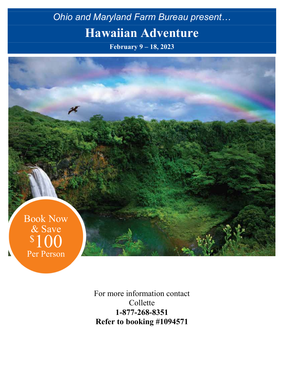# *Ohio and Maryland Farm Bureau present…* **Hawaiian Adventure**

**February 9 – 18, 2023**



For more information contact Collette **1-877-268-8351 Refer to booking #1094571**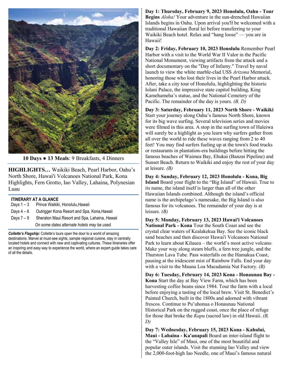

**10 Days ● 13 Meals**: 9 Breakfasts, 4 Dinners

**HIGHLIGHTS…** Waikiki Beach, Pearl Harbor, Oahu's North Shore, Hawai'i Volcanoes National Park, Kona Highlights, Fern Grotto, Iao Valley, Lahaina, Polynesian Luau

| <b>ITINERARY AT A GLANCE</b>  |                                                        |  |  |  |  |  |
|-------------------------------|--------------------------------------------------------|--|--|--|--|--|
|                               | Days 1 – 3 Prince Waikiki, Honolulu, Hawaii            |  |  |  |  |  |
|                               | Days 4 – 6 Outrigger Kona Resort and Spa, Kona, Hawaii |  |  |  |  |  |
| $P_{\text{other}}$ 7 $\Omega$ | Charaton Maui Pecert and Can Labaina, Haw              |  |  |  |  |  |

Srieraton Maul Resort and Spa, Lahaina, Hawaii *On some dates alternate hotels may be used.*

*Collette's Flagship:* Collette's tours open the door to a world of amazing destinations. Marvel at must-see sights, sample regional cuisine, stay in centrally located hotels and connect with new and captivating cultures. These itineraries offer an inspiring and easy way to experience the world, where an expert guide takes care of all the details.

**Day 1: Thursday, February 9, 2023 Honolulu, Oahu - Tour Begins** *Aloha!* Your adventure in the sun-drenched Hawaiian Islands begins in Oahu. Upon arrival you'll be welcomed with a traditional Hawaiian floral lei before transferring to your Waikiki Beach hotel. Relax and "hang loose" — you are in Hawaii!

**Day 2: Friday, February 10, 2023 Honolulu** Remember Pearl Harbor with a visit to the World War II Valor in the Pacific National Monument, viewing artifacts from the attack and a short documentary on the "Day of Infamy." Travel by naval launch to view the white marble-clad USS *Arizona* Memorial, honoring those who lost their lives in the Pearl Harbor attack. After, take a city tour of Honolulu, highlighting the historic Iolani Palace, the impressive state capitol building, King Kamehameha's statue, and the National Cemetery of the Pacific. The remainder of the day is yours. *(B, D)*

**Day 3: Saturday, February 11, 2023 North Shore - Waikiki**  Start your journey along Oahu's famous North Shore, known for its big wave surfing. Several television series and movies were filmed in this area. A stop in the surfing town of Haleiwa will surely be a highlight as you learn why surfers gather from all over the world to ride these waves ranging from 2 to 40 feet! You may find surfers fueling up at the town's food trucks or restaurants in plantation-era buildings before hitting the famous beaches of Waimea Bay, Ehukai (Banzai Pipeline) and Sunset Beach. Return to Waikiki and enjoy the rest of your day at leisure. *(B)*

**Day 4: Sunday, February 12, 2023 Honolulu - Kona, Big Island** Board your flight to the "Big Island" of Hawaii. True to its name, the island itself is larger than all of the other Hawaiian Islands combined. Although the island's official name is the archipelago's namesake, the Big Island is also famous for its volcanoes. The remainder of your day is at leisure. *(B)*

**Day 5: Monday, February 13, 2023 Hawai'i Volcanoes National Park - Kona** Tour the South Coast and see the crystal clear waters of Kealakekua Bay. See the iconic black sand beaches and then discover Hawai'i Volcanoes National Park to learn about Kilauea – the world's most active volcano. Make your way along steam bluffs, a fern tree jungle, and the Thurston Lava Tube. Pass waterfalls on the Hamakua Coast, pausing at the iridescent mist of Rainbow Falls. End your day with a visit to the Mauna Loa Macadamia Nut Factory. *(B)*

**Day 6: Tuesday, February 14, 2023 Kona - Honaunau Bay - Kona** Start the day at Bay View Farm, which has been harvesting coffee beans since 1984. Tour the farm with a local before enjoying a tasting of the local brew. Visit St. Benedict's Painted Church, built in the 1800s and adorned with vibrant frescos. Continue to Pu'uhonua o Honaunau National Historical Park on the rugged coast, once the place of refuge for those that broke the *Kapu* (sacred law) in old Hawaii. *(B, D)*

**Day 7: Wednesday, February 15, 2023 Kona - Kahului, Maui - Lahaina - Ka'anapali** Board an inter-island flight to the "Valley Isle" of Maui, one of the most beautiful and popular outer islands. Visit the stunning Iao Valley and view the 2,000-foot-high Iao Needle, one of Maui's famous natural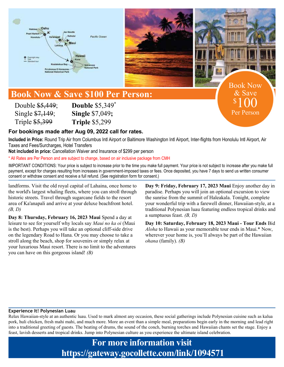



# **Book Now & Save \$100 Per Person:**

Double \$5,449; Single \$7,149; Triple \$5,399

**Double** \$5,349**\* Single** \$7,049**; Triple** \$5,299

### **For bookings made after Aug 09, 2022 call for rates.**

**Included in Price:** Round Trip Air from Columbus Intl Airport or Baltimore Washington Intl Airport, Inter-flights from Honolulu Intl Airport, Air Taxes and Fees/Surcharges, Hotel Transfers

**Not included in price:** Cancellation Waiver and Insurance of \$299 per person

\* All Rates are Per Person and are subject to change, based on air inclusive package from CMH

IMPORTANT CONDITIONS: Your price is subject to increase prior to the time you make full payment. Your price is not subject to increase after you make full payment, except for charges resulting from increases in government-imposed taxes or fees. Once deposited, you have 7 days to send us written consumer consent or withdraw consent and receive a full refund. (See registration form for consent.)

landforms. Visit the old royal capital of Lahaina, once home to the world's largest whaling fleets, where you can stroll through historic streets. Travel through sugarcane fields to the resort area of Ka'anapali and arrive at your deluxe beachfront hotel. *(B, D)*

**Day 8: Thursday, February 16, 2023 Maui** Spend a day at leisure to see for yourself why locals say *Maui no ka oi* (Maui is the best). Perhaps you will take an optional cliff-side drive on the legendary Road to Hana. Or you may choose to take a stroll along the beach, shop for souvenirs or simply relax at your luxurious Maui resort. There is no limit to the adventures you can have on this gorgeous island! *(B)*

**Day 9: Friday, February 17, 2023 Maui** Enjoy another day in paradise. Perhaps you will join an optional excursion to view the sunrise from the summit of Haleakala. Tonight, complete your wonderful trip with a farewell dinner, Hawaiian-style, at a traditional Polynesian luau featuring endless tropical drinks and a sumptuous feast. *(B, D)*

Book Now & Save

100

Per Person

 $\boldsymbol{\mathsf{S}}$ 

**Day 10: Saturday, February 18, 2023 Maui - Tour Ends** Bid *Aloha* to Hawaii as your memorable tour ends in Maui.\* Now, wherever your home is, you'll always be part of the Hawaiian *ohana* (family). *(B)*

### **Experience It! Polynesian Luau**

Relax Hawaiian-style at an authentic luau. Used to mark almost any occasion, these social gatherings include Polynesian cuisine such as kalua pork, huli chicken, fresh mahi mahi, and much more. More an event than a simple meal, preparations begin early in the morning and lead right into a traditional greeting of guests. The beating of drums, the sound of the conch, burning torches and Hawaiian chants set the stage. Enjoy a feast, lavish desserts and tropical drinks. Jump into Polynesian culture as you experience the ultimate island celebration.

> **For more information visit https://gateway.gocollette.com/link/1094571**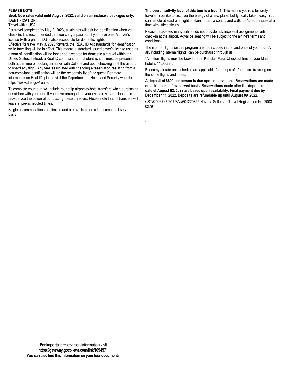### **PLEASE NOTE:**

### **Book Now rates valid until Aug 09, 2022, valid on air inclusive packages only. IDENTIFICATION**

Travel within USA

For travel completed by May 2, 2023, all airlines will ask for identification when you check in. It is recommended that you carry a passport if you have one. A driver's license (with a photo I.D.) is also acceptable for domestic flights.

Effective for travel May 3, 2023 forward, the REAL ID Act standards for identification while travelling will be in effect. This means a standard issued driver's license used as a form of identification will no longer be accepted for domestic air travel within the United States. Instead, a Real ID compliant form of identification must be presented both at the time of booking air travel with Collette and upon checking in at the airport to board any flight. Any fees associated with changing a reservation resulting from a non-compliant identification will be the responsibility of the guest. For more information on Real ID, please visit the Department of Homeland Security website: https://www.dhs.gov/real-id

To complete your tour, we include roundtrip airport-to-hotel transfers when purchasing our airfare with your tour. If you have arranged for your own air, we are pleased to provide you the option of *purchasing* these transfers. Please note that all transfers will leave at pre-scheduled times.

Single accommodations are limited and are available on a first come, first served basis.

**The overall activity level of this tour is a level 1.** This means you're a leisurely traveler. You like to discover the energy of a new place, but typically take it easy. You can handle at least one flight of stairs, board a coach, and walk for 15-30 minutes at a time with little difficulty.

Please be advised many airlines do not provide advance seat assignments until check-in at the airport. Advance seating will be subject to the airline's terms and conditions.

The internal flights on this program are not included in the land price of your tour. All air, including internal flights, can be purchased through us.

\*All return flights must be booked from Kahului, Maui. Checkout time at your Maui hotel is 11:00 a.m.

Economy air rate and schedule are applicable for groups of 10 or more traveling on the same flights and dates.

**A deposit of \$600 per person is due upon reservation. Reservations are made on a first come, first served basis. Reservations made after the deposit due date of August 02, 2022 are based upon availability. Final payment due by December 11, 2022. Deposits are refundable up until August 09, 2022.**

CST#2006766-20 UBN#601220855 Nevada Sellers of Travel Registration No. 2003- 0279

.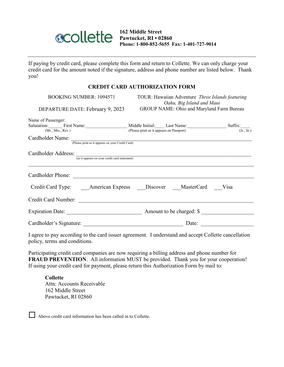

**162 Middle Street Pawtucket, RI • 02860 Phone: 1-800-852-5655 Fax: 1-401-727-9014**

If paying by credit card, please complete this form and return to Collette. We can only charge your credit card for the amount noted if the signature, address and phone number are listed below. Thank you!

### **CREDIT CARD AUTHORIZATION FORM**

| <b>BOOKING NUMBER: 1094571</b><br>DEPARTURE DATE: February 9, 2023     | TOUR: Hawaiian Adventure Three Islands featuring<br>Oahu, Big Island and Maui<br>GROUP NAME: Ohio and Maryland Farm Bureau |  |  |  |  |
|------------------------------------------------------------------------|----------------------------------------------------------------------------------------------------------------------------|--|--|--|--|
| Name of Passenger:<br>Salutation: First Name:<br>(Mr., Mrs., Rev.)     | Suffix:<br>Middle Initial: Last Name:<br>(Jr., Sr.)<br>(Please print as it appears on Passport)                            |  |  |  |  |
| Cardholder Name:<br>(Please print as it appears on your Credit Card)   |                                                                                                                            |  |  |  |  |
| Cardholder Address:<br>(as it appears on your credit card statement)   |                                                                                                                            |  |  |  |  |
| Cardholder Phone:<br><u> 1980 - Jan Stein, Amerikaansk politiker (</u> |                                                                                                                            |  |  |  |  |
| Credit Card Type: American Express                                     | Discover MasterCard<br>Visa                                                                                                |  |  |  |  |
| Credit Card Number:                                                    |                                                                                                                            |  |  |  |  |
| Expiration Date:                                                       | Amount to be charged: \$                                                                                                   |  |  |  |  |
| Cardholder's Signature:                                                | Date:                                                                                                                      |  |  |  |  |

I agree to pay according to the card issuer agreement. I understand and accept Collette cancellation policy, terms and conditions.

Participating credit card companies are now requiring a billing address and phone number for **FRAUD PREVENTION**. All information MUST be provided. Thank you for your cooperation! If using your credit card for payment, please return this Authorization Form by mail to:

### **Collette**

Attn: Accounts Receivable 162 Middle Street Pawtucket, RI 02860

Above credit card information has been called in to Collette.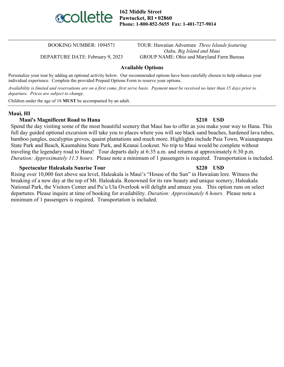

**162 Middle Street Pawtucket, RI • 02860 Phone: 1-800-852-5655 Fax: 1-401-727-9014**

BOOKING NUMBER: 1094571 TOUR: Hawaiian Adventure *Three Islands featuring Oahu, Big Island and Maui* DEPARTURE DATE: February 9, 2023 GROUP NAME: Ohio and Maryland Farm Bureau

### **Available Options**

Personalize your tour by adding an optional activity below. Our recommended options have been carefully chosen to help enhance your individual experience. Complete the provided Prepaid Options Form to reserve your options.

*Availability is limited and reservations are on a first come, first serve basis. Payment must be received no later than 15 days prior to departure. Prices are subject to change.*

Children under the age of 18 **MUST** be accompanied by an adult.

### **Maui, HI**

### **Maui's Magnificent Road to Hana \$210 USD**

Spend the day visiting some of the most beautiful scenery that Maui has to offer as you make your way to Hana. This full day guided optional excursion will take you to places where you will see black sand beaches, hardened lava tubes, bamboo jungles, eucalyptus groves, quaint plantations and much more. Highlights include Paia Town, Waianapanapa State Park and Beach, Kaumahina State Park, and Keanai Lookout. No trip to Maui would be complete without traveling the legendary road to Hana! Tour departs daily at 6:35 a.m. and returns at approximately 6:30 p.m. *Duration: Approximately 11.5 hours.* Please note a minimum of 1 passengers is required. Transportation is included.

### **Spectacular Haleakala Sunrise Tour \$220 USD**

Rising over 10,000 feet above sea level, Haleakala is Maui's "House of the Sun" in Hawaiian lore. Witness the breaking of a new day at the top of Mt. Haleakala. Renowned for its raw beauty and unique scenery, Haleakala National Park, the Visitors Center and Pu'u Ula Overlook will delight and amaze you. This option runs on select departures. Please inquire at time of booking for availability. *Duration: Approximately 6 hours.* Please note a minimum of 1 passengers is required. Transportation is included.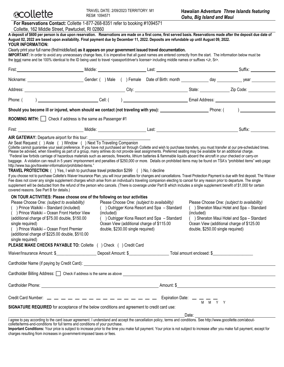| For Reservations Contact: Collette 1-877-268-8351 refer to booking #1094571 |
|-----------------------------------------------------------------------------|
| Collette, 162 Middle Street, Pawtucket, RI 02860                            |

| A deposit of \$600 per person is due upon reservation. Reservations are made on a first come, first served basis. Reservations made after the deposit due date of<br>August 02, 2022 are based upon availability. Final payment due by December 11, 2022. Deposits are refundable up until August 09, 2022.<br>YOUR INFORMATION:                                                                                                                                                                                                                                                                                                                                                                                                                                                                                                                                                                                                                                                                                                                                                                                                                                                                                                                                                                                                                                                                                                                                                                                                                                                                                                                                                                                                                                             |            |                                   |                                                                                                                                                                                         |                                                                                                                                                                                                                               |                                   |                                                                                                                                                                                     |  |
|------------------------------------------------------------------------------------------------------------------------------------------------------------------------------------------------------------------------------------------------------------------------------------------------------------------------------------------------------------------------------------------------------------------------------------------------------------------------------------------------------------------------------------------------------------------------------------------------------------------------------------------------------------------------------------------------------------------------------------------------------------------------------------------------------------------------------------------------------------------------------------------------------------------------------------------------------------------------------------------------------------------------------------------------------------------------------------------------------------------------------------------------------------------------------------------------------------------------------------------------------------------------------------------------------------------------------------------------------------------------------------------------------------------------------------------------------------------------------------------------------------------------------------------------------------------------------------------------------------------------------------------------------------------------------------------------------------------------------------------------------------------------------|------------|-----------------------------------|-----------------------------------------------------------------------------------------------------------------------------------------------------------------------------------------|-------------------------------------------------------------------------------------------------------------------------------------------------------------------------------------------------------------------------------|-----------------------------------|-------------------------------------------------------------------------------------------------------------------------------------------------------------------------------------|--|
| Clearly print your full name (first/middle/last) as it appears on your government issued travel documentation.<br>IMPORTANT: In order to avoid any unnecessary change fees, it is imperative that all guest names are entered correctly from the start. The information below must be<br>the legal name and be 100% identical to the ID being used to travel <passport driver's="" license=""> including middle names or suffixes <jr, sr="">.</jr,></passport>                                                                                                                                                                                                                                                                                                                                                                                                                                                                                                                                                                                                                                                                                                                                                                                                                                                                                                                                                                                                                                                                                                                                                                                                                                                                                                              |            |                                   |                                                                                                                                                                                         |                                                                                                                                                                                                                               |                                   |                                                                                                                                                                                     |  |
|                                                                                                                                                                                                                                                                                                                                                                                                                                                                                                                                                                                                                                                                                                                                                                                                                                                                                                                                                                                                                                                                                                                                                                                                                                                                                                                                                                                                                                                                                                                                                                                                                                                                                                                                                                              |            |                                   |                                                                                                                                                                                         |                                                                                                                                                                                                                               |                                   |                                                                                                                                                                                     |  |
| Nickname: vear vear contract () Male () Female Date of Birth: month and and day vear vear vear vear the Sender: () Male () Female Date of Birth: month                                                                                                                                                                                                                                                                                                                                                                                                                                                                                                                                                                                                                                                                                                                                                                                                                                                                                                                                                                                                                                                                                                                                                                                                                                                                                                                                                                                                                                                                                                                                                                                                                       |            |                                   |                                                                                                                                                                                         |                                                                                                                                                                                                                               |                                   |                                                                                                                                                                                     |  |
|                                                                                                                                                                                                                                                                                                                                                                                                                                                                                                                                                                                                                                                                                                                                                                                                                                                                                                                                                                                                                                                                                                                                                                                                                                                                                                                                                                                                                                                                                                                                                                                                                                                                                                                                                                              |            |                                   |                                                                                                                                                                                         |                                                                                                                                                                                                                               |                                   |                                                                                                                                                                                     |  |
|                                                                                                                                                                                                                                                                                                                                                                                                                                                                                                                                                                                                                                                                                                                                                                                                                                                                                                                                                                                                                                                                                                                                                                                                                                                                                                                                                                                                                                                                                                                                                                                                                                                                                                                                                                              |            |                                   |                                                                                                                                                                                         |                                                                                                                                                                                                                               |                                   |                                                                                                                                                                                     |  |
|                                                                                                                                                                                                                                                                                                                                                                                                                                                                                                                                                                                                                                                                                                                                                                                                                                                                                                                                                                                                                                                                                                                                                                                                                                                                                                                                                                                                                                                                                                                                                                                                                                                                                                                                                                              |            |                                   |                                                                                                                                                                                         |                                                                                                                                                                                                                               |                                   |                                                                                                                                                                                     |  |
| ROOMING WITH:   Check if address is the same as Passenger #1                                                                                                                                                                                                                                                                                                                                                                                                                                                                                                                                                                                                                                                                                                                                                                                                                                                                                                                                                                                                                                                                                                                                                                                                                                                                                                                                                                                                                                                                                                                                                                                                                                                                                                                 |            |                                   |                                                                                                                                                                                         |                                                                                                                                                                                                                               |                                   |                                                                                                                                                                                     |  |
|                                                                                                                                                                                                                                                                                                                                                                                                                                                                                                                                                                                                                                                                                                                                                                                                                                                                                                                                                                                                                                                                                                                                                                                                                                                                                                                                                                                                                                                                                                                                                                                                                                                                                                                                                                              |            |                                   |                                                                                                                                                                                         |                                                                                                                                                                                                                               |                                   | Suffix:                                                                                                                                                                             |  |
| Please be advised, when travelling as part of a group, many airlines do not provide seat assignments. Preferred seating may be available for an additional charge.<br>"Federal law forbids carriage of hazardous materials such as aerosols, fireworks, lithium batteries & flammable liquids aboard the aircraft in your checked or carry-on<br>baggage. A violation can result in 5 years' imprisonment and penalties of \$250,000 or more. Details on prohibited items may be found on TSA's "prohibited items" web page:<br>http://www.tsa.gov/traveler-information/prohibited-items."<br><b>TRAVEL PROTECTION:</b> () Yes, I wish to purchase travel protection \$299 () No, I decline<br>If you choose not to purchase Collette's Waiver Insurance Plan, you will incur penalties for changes and cancellations. Travel Protection Payment is due with first deposit. The Waiver<br>Fee does not cover any single supplement charges which arise from an individual's traveling companion electing to cancel for any reason prior to departure. The single<br>supplement will be deducted from the refund of the person who cancels. (There is coverage under Part B which includes a single supplement benefit of \$1,000 for certain<br>covered reasons. See Part B for details.)<br>ON TOUR ACTIVITIES: Please choose one of the following on tour activities<br>Please Choose One: (subject to availability)<br>) Prince Waikiki - Standard (included)<br>() Prince Waikiki - Ocean Front Harbor View<br>(additional charge of \$75.00 double, \$150.00<br>single required)<br>() Prince Waikiki - Ocean Front Premier<br>(additional charge of \$225.00 double, \$510.00<br>single required)<br>PLEASE MAKE CHECKS PAYABLE TO: Collette ( ) Check ( ) Credit Card | (included) | double, \$230.00 single required) | Please Choose One: (subject to availability)<br>() Outrigger Kona Resort and Spa - Standard<br>() Outrigger Kona Resort and Spa - Standard<br>Ocean View (additional charge of \$115.00 | (included)                                                                                                                                                                                                                    | double, \$250.00 single required) | Please Choose One: (subject to availability)<br>() Sheraton Maui Hotel and Spa - Standard<br>() Sheraton Maui Hotel and Spa - Standard<br>Ocean View (additional charge of \$125.00 |  |
|                                                                                                                                                                                                                                                                                                                                                                                                                                                                                                                                                                                                                                                                                                                                                                                                                                                                                                                                                                                                                                                                                                                                                                                                                                                                                                                                                                                                                                                                                                                                                                                                                                                                                                                                                                              |            |                                   |                                                                                                                                                                                         |                                                                                                                                                                                                                               |                                   |                                                                                                                                                                                     |  |
| Cardholder Name (if paying by Credit Card): Name (if paying by Credit Card): Name (if paying by Credit Card):                                                                                                                                                                                                                                                                                                                                                                                                                                                                                                                                                                                                                                                                                                                                                                                                                                                                                                                                                                                                                                                                                                                                                                                                                                                                                                                                                                                                                                                                                                                                                                                                                                                                |            |                                   |                                                                                                                                                                                         |                                                                                                                                                                                                                               |                                   |                                                                                                                                                                                     |  |
| Cardholder Billing Address: C Check if address is the same as above contract to contract the contract of the same as above contract to contract the same as above contract to contract the same as above contract to contract                                                                                                                                                                                                                                                                                                                                                                                                                                                                                                                                                                                                                                                                                                                                                                                                                                                                                                                                                                                                                                                                                                                                                                                                                                                                                                                                                                                                                                                                                                                                                |            |                                   |                                                                                                                                                                                         |                                                                                                                                                                                                                               |                                   |                                                                                                                                                                                     |  |
|                                                                                                                                                                                                                                                                                                                                                                                                                                                                                                                                                                                                                                                                                                                                                                                                                                                                                                                                                                                                                                                                                                                                                                                                                                                                                                                                                                                                                                                                                                                                                                                                                                                                                                                                                                              |            |                                   |                                                                                                                                                                                         |                                                                                                                                                                                                                               |                                   |                                                                                                                                                                                     |  |
|                                                                                                                                                                                                                                                                                                                                                                                                                                                                                                                                                                                                                                                                                                                                                                                                                                                                                                                                                                                                                                                                                                                                                                                                                                                                                                                                                                                                                                                                                                                                                                                                                                                                                                                                                                              |            |                                   |                                                                                                                                                                                         |                                                                                                                                                                                                                               |                                   |                                                                                                                                                                                     |  |
| SIGNATURE REQUIRED for acceptance of the below conditions and agreement to credit card use:                                                                                                                                                                                                                                                                                                                                                                                                                                                                                                                                                                                                                                                                                                                                                                                                                                                                                                                                                                                                                                                                                                                                                                                                                                                                                                                                                                                                                                                                                                                                                                                                                                                                                  |            |                                   |                                                                                                                                                                                         |                                                                                                                                                                                                                               |                                   |                                                                                                                                                                                     |  |
|                                                                                                                                                                                                                                                                                                                                                                                                                                                                                                                                                                                                                                                                                                                                                                                                                                                                                                                                                                                                                                                                                                                                                                                                                                                                                                                                                                                                                                                                                                                                                                                                                                                                                                                                                                              |            |                                   |                                                                                                                                                                                         | Date: and the state of the state of the state of the state of the state of the state of the state of the state of the state of the state of the state of the state of the state of the state of the state of the state of the |                                   |                                                                                                                                                                                     |  |

I agree to pay according to the card issuer agreement. I understand and accept the cancellation policy, terms and conditions. See http://www.gocollette.com/aboutcollette/terms-and-conditions for full terms and conditions of your purchase.

**Important Conditions:** Your price is subject to increase prior to the time you make full payment. Your price is not subject to increase after you make full payment, except for charges resulting from increases in government-imposed taxes or fees.